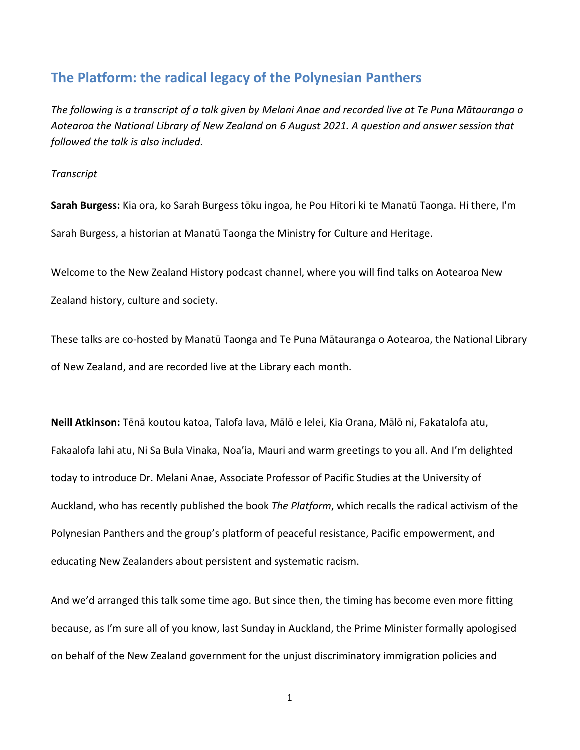## **The Platform: the radical legacy of the Polynesian Panthers**

*The following is a transcript of a talk given by Melani Anae and recorded live at Te Puna Mātauranga o Aotearoa the National Library of New Zealand on 6 August 2021. A question and answer session that followed the talk is also included.*

## *Transcript*

**Sarah Burgess:** Kia ora, ko Sarah Burgess tōku ingoa, he Pou Hītori ki te Manatū Taonga. Hi there, I'm Sarah Burgess, a historian at Manatū Taonga the Ministry for Culture and Heritage.

Welcome to the New Zealand History podcast channel, where you will find talks on Aotearoa New Zealand history, culture and society.

These talks are co-hosted by Manatū Taonga and Te Puna Mātauranga o Aotearoa, the National Library of New Zealand, and are recorded live at the Library each month.

**Neill Atkinson:** Tēnā koutou katoa, Talofa lava, Mālō e lelei, Kia Orana, Mālō ni, Fakatalofa atu, Fakaalofa lahi atu, Ni Sa Bula Vinaka, Noa'ia, Mauri and warm greetings to you all. And I'm delighted today to introduce Dr. Melani Anae, Associate Professor of Pacific Studies at the University of Auckland, who has recently published the book *The Platform*, which recalls the radical activism of the Polynesian Panthers and the group's platform of peaceful resistance, Pacific empowerment, and educating New Zealanders about persistent and systematic racism.

And we'd arranged this talk some time ago. But since then, the timing has become even more fitting because, as I'm sure all of you know, last Sunday in Auckland, the Prime Minister formally apologised on behalf of the New Zealand government for the unjust discriminatory immigration policies and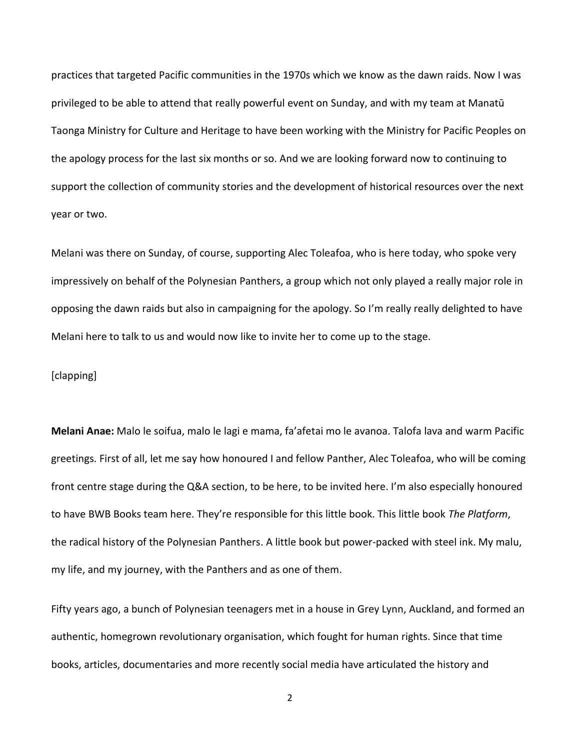practices that targeted Pacific communities in the 1970s which we know as the dawn raids. Now I was privileged to be able to attend that really powerful event on Sunday, and with my team at Manatū Taonga Ministry for Culture and Heritage to have been working with the Ministry for Pacific Peoples on the apology process for the last six months or so. And we are looking forward now to continuing to support the collection of community stories and the development of historical resources over the next year or two.

Melani was there on Sunday, of course, supporting Alec Toleafoa, who is here today, who spoke very impressively on behalf of the Polynesian Panthers, a group which not only played a really major role in opposing the dawn raids but also in campaigning for the apology. So I'm really really delighted to have Melani here to talk to us and would now like to invite her to come up to the stage.

## [clapping]

**Melani Anae:** Malo le soifua, malo le lagi e mama, fa'afetai mo le avanoa. Talofa lava and warm Pacific greetings. First of all, let me say how honoured I and fellow Panther, Alec Toleafoa, who will be coming front centre stage during the Q&A section, to be here, to be invited here. I'm also especially honoured to have BWB Books team here. They're responsible for this little book. This little book *The Platform*, the radical history of the Polynesian Panthers. A little book but power-packed with steel ink. My malu, my life, and my journey, with the Panthers and as one of them.

Fifty years ago, a bunch of Polynesian teenagers met in a house in Grey Lynn, Auckland, and formed an authentic, homegrown revolutionary organisation, which fought for human rights. Since that time books, articles, documentaries and more recently social media have articulated the history and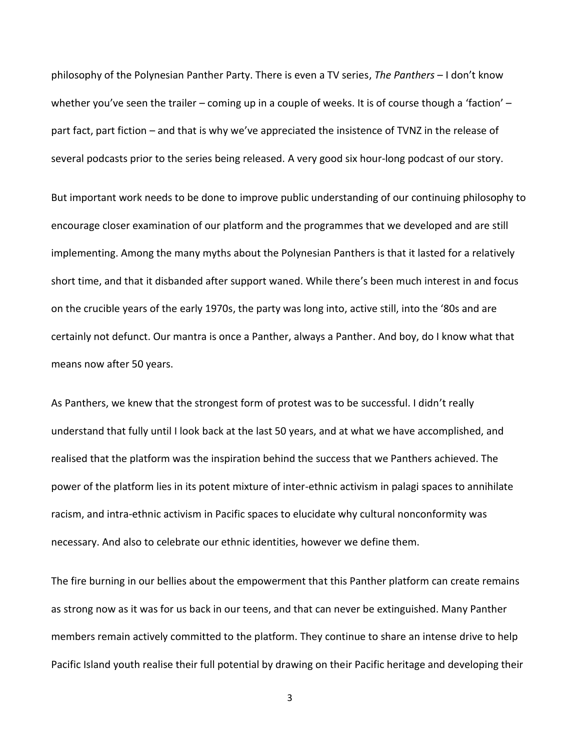philosophy of the Polynesian Panther Party. There is even a TV series, *The Panthers* – I don't know whether you've seen the trailer – coming up in a couple of weeks. It is of course though a 'faction' – part fact, part fiction – and that is why we've appreciated the insistence of TVNZ in the release of several podcasts prior to the series being released. A very good six hour-long podcast of our story.

But important work needs to be done to improve public understanding of our continuing philosophy to encourage closer examination of our platform and the programmes that we developed and are still implementing. Among the many myths about the Polynesian Panthers is that it lasted for a relatively short time, and that it disbanded after support waned. While there's been much interest in and focus on the crucible years of the early 1970s, the party was long into, active still, into the '80s and are certainly not defunct. Our mantra is once a Panther, always a Panther. And boy, do I know what that means now after 50 years.

As Panthers, we knew that the strongest form of protest was to be successful. I didn't really understand that fully until I look back at the last 50 years, and at what we have accomplished, and realised that the platform was the inspiration behind the success that we Panthers achieved. The power of the platform lies in its potent mixture of inter-ethnic activism in palagi spaces to annihilate racism, and intra-ethnic activism in Pacific spaces to elucidate why cultural nonconformity was necessary. And also to celebrate our ethnic identities, however we define them.

The fire burning in our bellies about the empowerment that this Panther platform can create remains as strong now as it was for us back in our teens, and that can never be extinguished. Many Panther members remain actively committed to the platform. They continue to share an intense drive to help Pacific Island youth realise their full potential by drawing on their Pacific heritage and developing their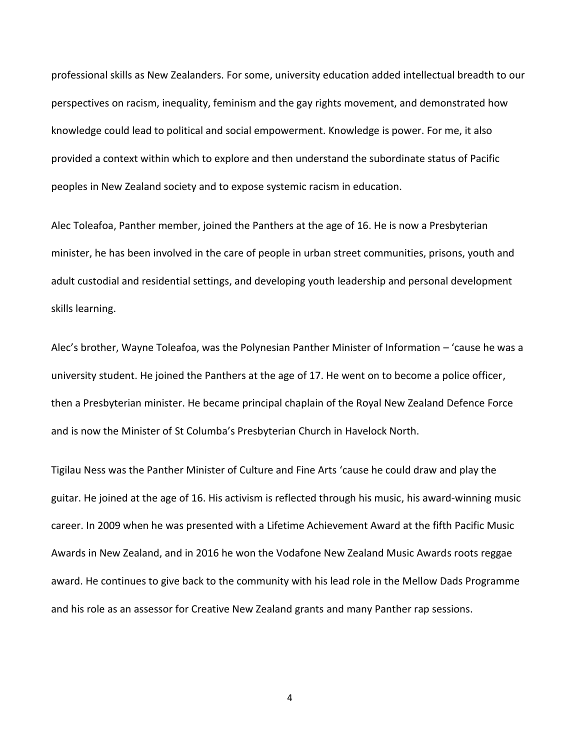professional skills as New Zealanders. For some, university education added intellectual breadth to our perspectives on racism, inequality, feminism and the gay rights movement, and demonstrated how knowledge could lead to political and social empowerment. Knowledge is power. For me, it also provided a context within which to explore and then understand the subordinate status of Pacific peoples in New Zealand society and to expose systemic racism in education.

Alec Toleafoa, Panther member, joined the Panthers at the age of 16. He is now a Presbyterian minister, he has been involved in the care of people in urban street communities, prisons, youth and adult custodial and residential settings, and developing youth leadership and personal development skills learning.

Alec's brother, Wayne Toleafoa, was the Polynesian Panther Minister of Information – 'cause he was a university student. He joined the Panthers at the age of 17. He went on to become a police officer, then a Presbyterian minister. He became principal chaplain of the Royal New Zealand Defence Force and is now the Minister of St Columba's Presbyterian Church in Havelock North.

Tigilau Ness was the Panther Minister of Culture and Fine Arts 'cause he could draw and play the guitar. He joined at the age of 16. His activism is reflected through his music, his award-winning music career. In 2009 when he was presented with a Lifetime Achievement Award at the fifth Pacific Music Awards in New Zealand, and in 2016 he won the Vodafone New Zealand Music Awards roots reggae award. He continues to give back to the community with his lead role in the Mellow Dads Programme and his role as an assessor for Creative New Zealand grants and many Panther rap sessions.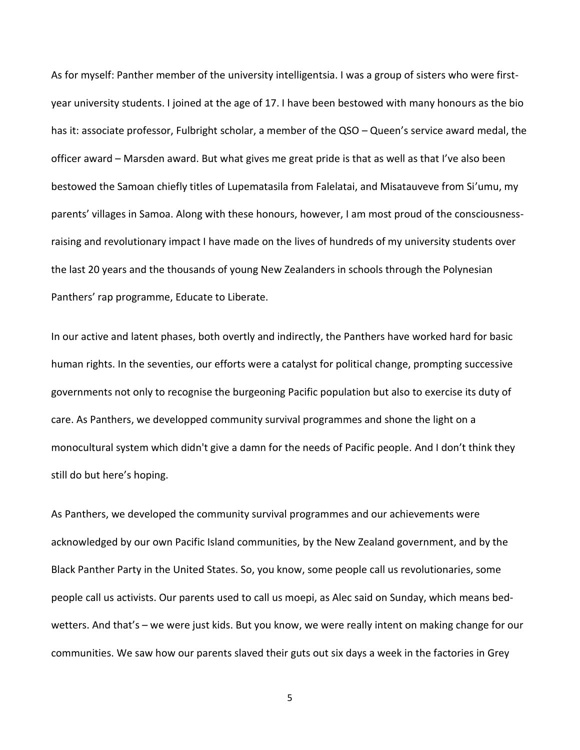As for myself: Panther member of the university intelligentsia. I was a group of sisters who were firstyear university students. I joined at the age of 17. I have been bestowed with many honours as the bio has it: associate professor, Fulbright scholar, a member of the QSO – Queen's service award medal, the officer award – Marsden award. But what gives me great pride is that as well as that I've also been bestowed the Samoan chiefly titles of Lupematasila from Falelatai, and Misatauveve from Si'umu, my parents' villages in Samoa. Along with these honours, however, I am most proud of the consciousnessraising and revolutionary impact I have made on the lives of hundreds of my university students over the last 20 years and the thousands of young New Zealanders in schools through the Polynesian Panthers' rap programme, Educate to Liberate.

In our active and latent phases, both overtly and indirectly, the Panthers have worked hard for basic human rights. In the seventies, our efforts were a catalyst for political change, prompting successive governments not only to recognise the burgeoning Pacific population but also to exercise its duty of care. As Panthers, we developped community survival programmes and shone the light on a monocultural system which didn't give a damn for the needs of Pacific people. And I don't think they still do but here's hoping.

As Panthers, we developed the community survival programmes and our achievements were acknowledged by our own Pacific Island communities, by the New Zealand government, and by the Black Panther Party in the United States. So, you know, some people call us revolutionaries, some people call us activists. Our parents used to call us moepi, as Alec said on Sunday, which means bedwetters. And that's – we were just kids. But you know, we were really intent on making change for our communities. We saw how our parents slaved their guts out six days a week in the factories in Grey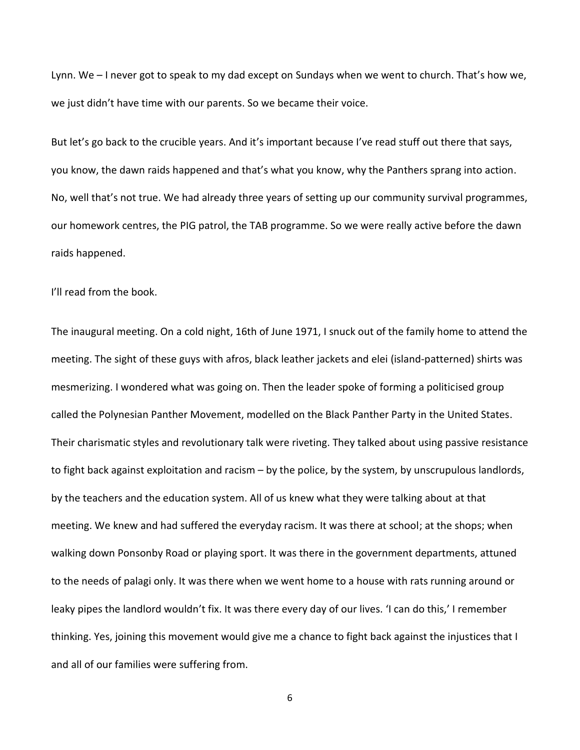Lynn. We – I never got to speak to my dad except on Sundays when we went to church. That's how we, we just didn't have time with our parents. So we became their voice.

But let's go back to the crucible years. And it's important because I've read stuff out there that says, you know, the dawn raids happened and that's what you know, why the Panthers sprang into action. No, well that's not true. We had already three years of setting up our community survival programmes, our homework centres, the PIG patrol, the TAB programme. So we were really active before the dawn raids happened.

I'll read from the book.

The inaugural meeting. On a cold night, 16th of June 1971, I snuck out of the family home to attend the meeting. The sight of these guys with afros, black leather jackets and elei (island-patterned) shirts was mesmerizing. I wondered what was going on. Then the leader spoke of forming a politicised group called the Polynesian Panther Movement, modelled on the Black Panther Party in the United States. Their charismatic styles and revolutionary talk were riveting. They talked about using passive resistance to fight back against exploitation and racism – by the police, by the system, by unscrupulous landlords, by the teachers and the education system. All of us knew what they were talking about at that meeting. We knew and had suffered the everyday racism. It was there at school; at the shops; when walking down Ponsonby Road or playing sport. It was there in the government departments, attuned to the needs of palagi only. It was there when we went home to a house with rats running around or leaky pipes the landlord wouldn't fix. It was there every day of our lives. 'I can do this,' I remember thinking. Yes, joining this movement would give me a chance to fight back against the injustices that I and all of our families were suffering from.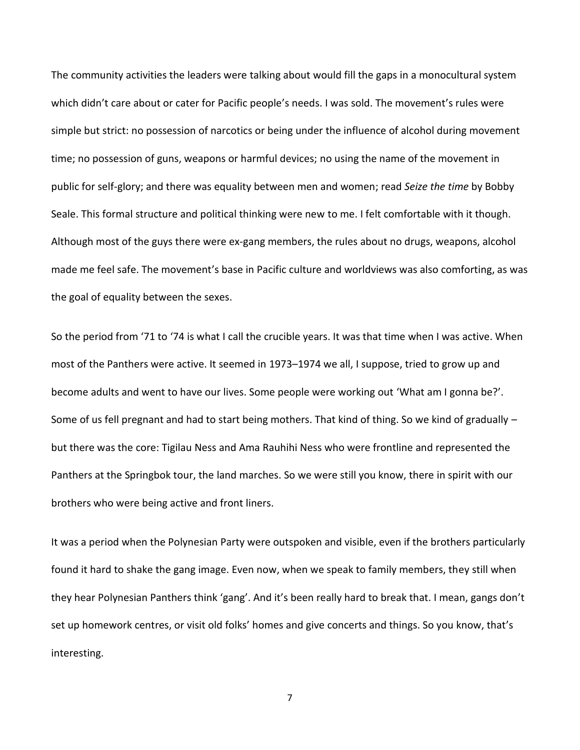The community activities the leaders were talking about would fill the gaps in a monocultural system which didn't care about or cater for Pacific people's needs. I was sold. The movement's rules were simple but strict: no possession of narcotics or being under the influence of alcohol during movement time; no possession of guns, weapons or harmful devices; no using the name of the movement in public for self-glory; and there was equality between men and women; read *Seize the time* by Bobby Seale. This formal structure and political thinking were new to me. I felt comfortable with it though. Although most of the guys there were ex-gang members, the rules about no drugs, weapons, alcohol made me feel safe. The movement's base in Pacific culture and worldviews was also comforting, as was the goal of equality between the sexes.

So the period from '71 to '74 is what I call the crucible years. It was that time when I was active. When most of the Panthers were active. It seemed in 1973–1974 we all, I suppose, tried to grow up and become adults and went to have our lives. Some people were working out 'What am I gonna be?'. Some of us fell pregnant and had to start being mothers. That kind of thing. So we kind of gradually – but there was the core: Tigilau Ness and Ama Rauhihi Ness who were frontline and represented the Panthers at the Springbok tour, the land marches. So we were still you know, there in spirit with our brothers who were being active and front liners.

It was a period when the Polynesian Party were outspoken and visible, even if the brothers particularly found it hard to shake the gang image. Even now, when we speak to family members, they still when they hear Polynesian Panthers think 'gang'. And it's been really hard to break that. I mean, gangs don't set up homework centres, or visit old folks' homes and give concerts and things. So you know, that's interesting.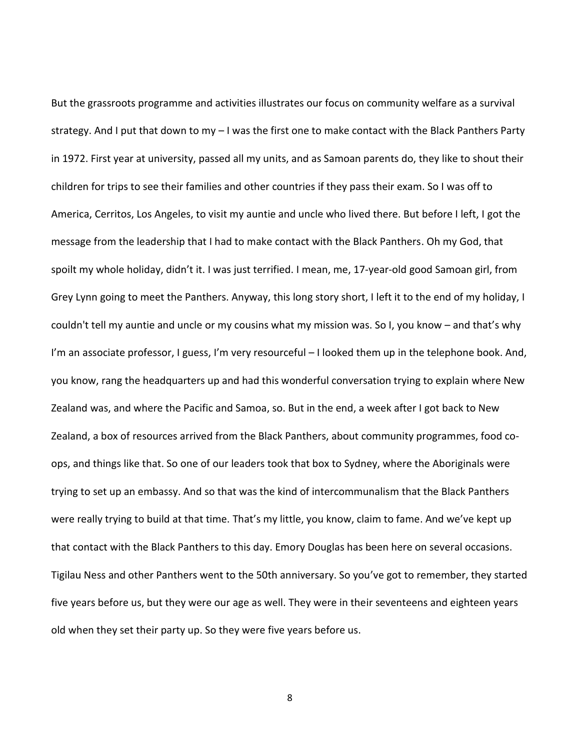But the grassroots programme and activities illustrates our focus on community welfare as a survival strategy. And I put that down to my – I was the first one to make contact with the Black Panthers Party in 1972. First year at university, passed all my units, and as Samoan parents do, they like to shout their children for trips to see their families and other countries if they pass their exam. So I was off to America, Cerritos, Los Angeles, to visit my auntie and uncle who lived there. But before I left, I got the message from the leadership that I had to make contact with the Black Panthers. Oh my God, that spoilt my whole holiday, didn't it. I was just terrified. I mean, me, 17-year-old good Samoan girl, from Grey Lynn going to meet the Panthers. Anyway, this long story short, I left it to the end of my holiday, I couldn't tell my auntie and uncle or my cousins what my mission was. So I, you know – and that's why I'm an associate professor, I guess, I'm very resourceful – I looked them up in the telephone book. And, you know, rang the headquarters up and had this wonderful conversation trying to explain where New Zealand was, and where the Pacific and Samoa, so. But in the end, a week after I got back to New Zealand, a box of resources arrived from the Black Panthers, about community programmes, food coops, and things like that. So one of our leaders took that box to Sydney, where the Aboriginals were trying to set up an embassy. And so that was the kind of intercommunalism that the Black Panthers were really trying to build at that time. That's my little, you know, claim to fame. And we've kept up that contact with the Black Panthers to this day. Emory Douglas has been here on several occasions. Tigilau Ness and other Panthers went to the 50th anniversary. So you've got to remember, they started five years before us, but they were our age as well. They were in their seventeens and eighteen years old when they set their party up. So they were five years before us.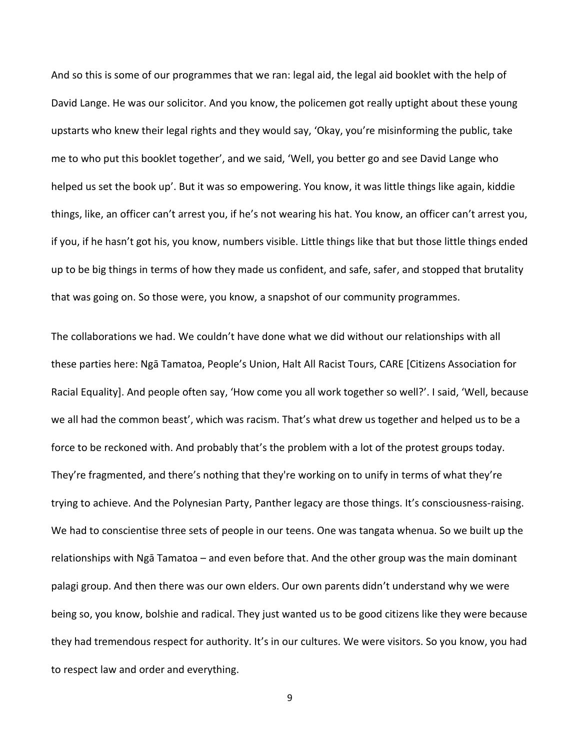And so this is some of our programmes that we ran: legal aid, the legal aid booklet with the help of David Lange. He was our solicitor. And you know, the policemen got really uptight about these young upstarts who knew their legal rights and they would say, 'Okay, you're misinforming the public, take me to who put this booklet together', and we said, 'Well, you better go and see David Lange who helped us set the book up'. But it was so empowering. You know, it was little things like again, kiddie things, like, an officer can't arrest you, if he's not wearing his hat. You know, an officer can't arrest you, if you, if he hasn't got his, you know, numbers visible. Little things like that but those little things ended up to be big things in terms of how they made us confident, and safe, safer, and stopped that brutality that was going on. So those were, you know, a snapshot of our community programmes.

The collaborations we had. We couldn't have done what we did without our relationships with all these parties here: Ngā Tamatoa, People's Union, Halt All Racist Tours, CARE [Citizens Association for Racial Equality]. And people often say, 'How come you all work together so well?'. I said, 'Well, because we all had the common beast', which was racism. That's what drew us together and helped us to be a force to be reckoned with. And probably that's the problem with a lot of the protest groups today. They're fragmented, and there's nothing that they're working on to unify in terms of what they're trying to achieve. And the Polynesian Party, Panther legacy are those things. It's consciousness-raising. We had to conscientise three sets of people in our teens. One was tangata whenua. So we built up the relationships with Ngā Tamatoa – and even before that. And the other group was the main dominant palagi group. And then there was our own elders. Our own parents didn't understand why we were being so, you know, bolshie and radical. They just wanted us to be good citizens like they were because they had tremendous respect for authority. It's in our cultures. We were visitors. So you know, you had to respect law and order and everything.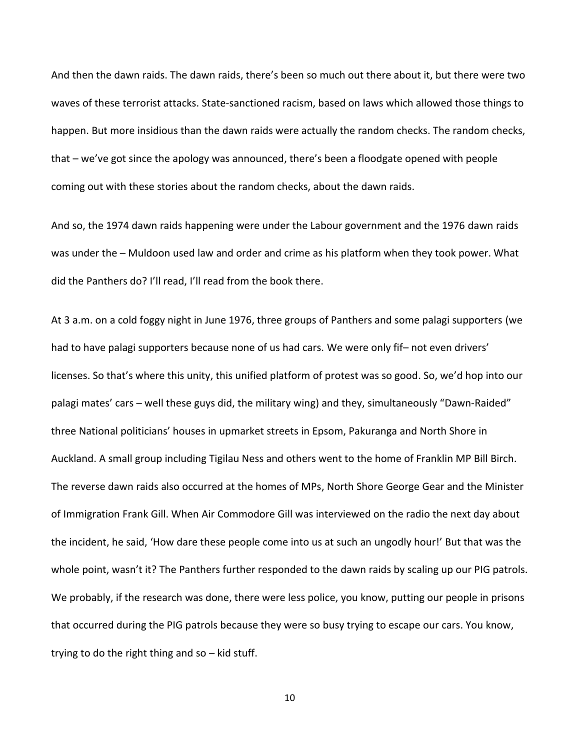And then the dawn raids. The dawn raids, there's been so much out there about it, but there were two waves of these terrorist attacks. State-sanctioned racism, based on laws which allowed those things to happen. But more insidious than the dawn raids were actually the random checks. The random checks, that – we've got since the apology was announced, there's been a floodgate opened with people coming out with these stories about the random checks, about the dawn raids.

And so, the 1974 dawn raids happening were under the Labour government and the 1976 dawn raids was under the – Muldoon used law and order and crime as his platform when they took power. What did the Panthers do? I'll read, I'll read from the book there.

At 3 a.m. on a cold foggy night in June 1976, three groups of Panthers and some palagi supporters (we had to have palagi supporters because none of us had cars. We were only fif– not even drivers' licenses. So that's where this unity, this unified platform of protest was so good. So, we'd hop into our palagi mates' cars – well these guys did, the military wing) and they, simultaneously "Dawn-Raided" three National politicians' houses in upmarket streets in Epsom, Pakuranga and North Shore in Auckland. A small group including Tigilau Ness and others went to the home of Franklin MP Bill Birch. The reverse dawn raids also occurred at the homes of MPs, North Shore George Gear and the Minister of Immigration Frank Gill. When Air Commodore Gill was interviewed on the radio the next day about the incident, he said, 'How dare these people come into us at such an ungodly hour!' But that was the whole point, wasn't it? The Panthers further responded to the dawn raids by scaling up our PIG patrols. We probably, if the research was done, there were less police, you know, putting our people in prisons that occurred during the PIG patrols because they were so busy trying to escape our cars. You know, trying to do the right thing and so – kid stuff.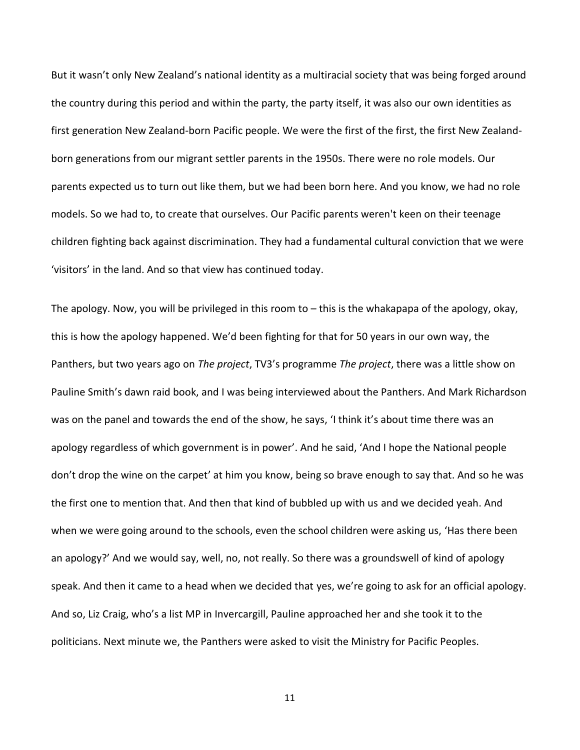But it wasn't only New Zealand's national identity as a multiracial society that was being forged around the country during this period and within the party, the party itself, it was also our own identities as first generation New Zealand-born Pacific people. We were the first of the first, the first New Zealandborn generations from our migrant settler parents in the 1950s. There were no role models. Our parents expected us to turn out like them, but we had been born here. And you know, we had no role models. So we had to, to create that ourselves. Our Pacific parents weren't keen on their teenage children fighting back against discrimination. They had a fundamental cultural conviction that we were 'visitors' in the land. And so that view has continued today.

The apology. Now, you will be privileged in this room to – this is the whakapapa of the apology, okay, this is how the apology happened. We'd been fighting for that for 50 years in our own way, the Panthers, but two years ago on *The project*, TV3's programme *The project*, there was a little show on Pauline Smith's dawn raid book, and I was being interviewed about the Panthers. And Mark Richardson was on the panel and towards the end of the show, he says, 'I think it's about time there was an apology regardless of which government is in power'. And he said, 'And I hope the National people don't drop the wine on the carpet' at him you know, being so brave enough to say that. And so he was the first one to mention that. And then that kind of bubbled up with us and we decided yeah. And when we were going around to the schools, even the school children were asking us, 'Has there been an apology?' And we would say, well, no, not really. So there was a groundswell of kind of apology speak. And then it came to a head when we decided that yes, we're going to ask for an official apology. And so, Liz Craig, who's a list MP in Invercargill, Pauline approached her and she took it to the politicians. Next minute we, the Panthers were asked to visit the Ministry for Pacific Peoples.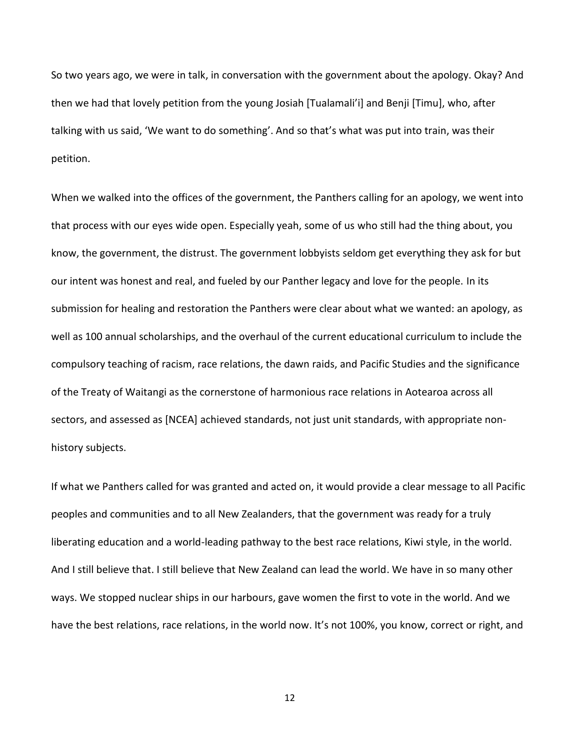So two years ago, we were in talk, in conversation with the government about the apology. Okay? And then we had that lovely petition from the young Josiah [Tualamali'i] and Benji [Timu], who, after talking with us said, 'We want to do something'. And so that's what was put into train, was their petition.

When we walked into the offices of the government, the Panthers calling for an apology, we went into that process with our eyes wide open. Especially yeah, some of us who still had the thing about, you know, the government, the distrust. The government lobbyists seldom get everything they ask for but our intent was honest and real, and fueled by our Panther legacy and love for the people. In its submission for healing and restoration the Panthers were clear about what we wanted: an apology, as well as 100 annual scholarships, and the overhaul of the current educational curriculum to include the compulsory teaching of racism, race relations, the dawn raids, and Pacific Studies and the significance of the Treaty of Waitangi as the cornerstone of harmonious race relations in Aotearoa across all sectors, and assessed as [NCEA] achieved standards, not just unit standards, with appropriate nonhistory subjects.

If what we Panthers called for was granted and acted on, it would provide a clear message to all Pacific peoples and communities and to all New Zealanders, that the government was ready for a truly liberating education and a world-leading pathway to the best race relations, Kiwi style, in the world. And I still believe that. I still believe that New Zealand can lead the world. We have in so many other ways. We stopped nuclear ships in our harbours, gave women the first to vote in the world. And we have the best relations, race relations, in the world now. It's not 100%, you know, correct or right, and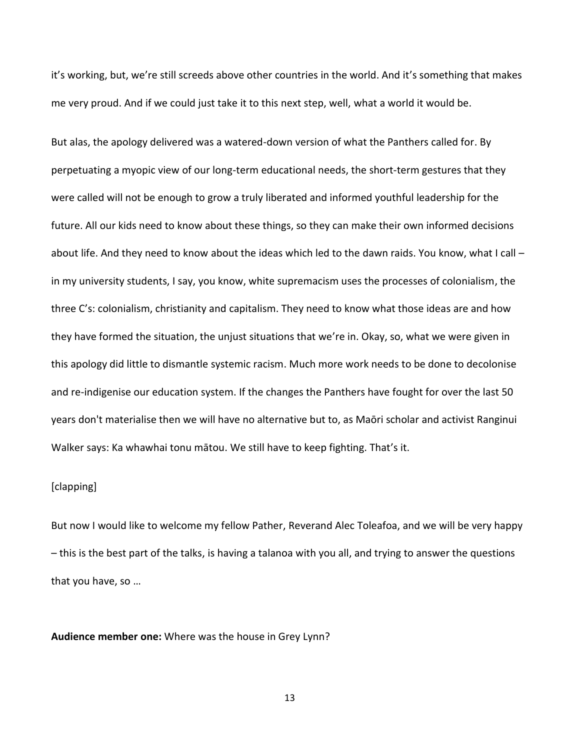it's working, but, we're still screeds above other countries in the world. And it's something that makes me very proud. And if we could just take it to this next step, well, what a world it would be.

But alas, the apology delivered was a watered-down version of what the Panthers called for. By perpetuating a myopic view of our long-term educational needs, the short-term gestures that they were called will not be enough to grow a truly liberated and informed youthful leadership for the future. All our kids need to know about these things, so they can make their own informed decisions about life. And they need to know about the ideas which led to the dawn raids. You know, what I call – in my university students, I say, you know, white supremacism uses the processes of colonialism, the three C's: colonialism, christianity and capitalism. They need to know what those ideas are and how they have formed the situation, the unjust situations that we're in. Okay, so, what we were given in this apology did little to dismantle systemic racism. Much more work needs to be done to decolonise and re-indigenise our education system. If the changes the Panthers have fought for over the last 50 years don't materialise then we will have no alternative but to, as Maōri scholar and activist Ranginui Walker says: Ka whawhai tonu mātou. We still have to keep fighting. That's it.

## [clapping]

But now I would like to welcome my fellow Pather, Reverand Alec Toleafoa, and we will be very happy – this is the best part of the talks, is having a talanoa with you all, and trying to answer the questions that you have, so …

**Audience member one:** Where was the house in Grey Lynn?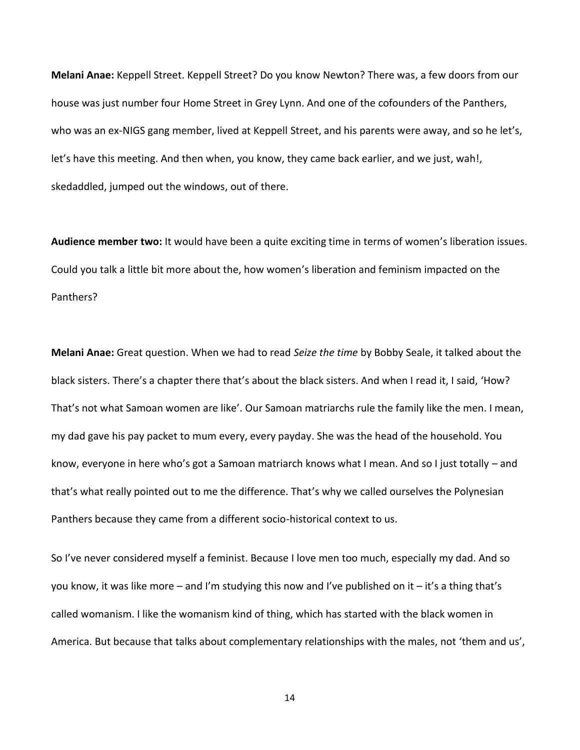**Melani Anae:** Keppell Street. Keppell Street? Do you know Newton? There was, a few doors from our house was just number four Home Street in Grey Lynn. And one of the cofounders of the Panthers, who was an ex-NIGS gang member, lived at Keppell Street, and his parents were away, and so he let's, let's have this meeting. And then when, you know, they came back earlier, and we just, wah!, skedaddled, jumped out the windows, out of there.

**Audience member two:** It would have been a quite exciting time in terms of women's liberation issues. Could you talk a little bit more about the, how women's liberation and feminism impacted on the Panthers?

**Melani Anae:** Great question. When we had to read *Seize the time* by Bobby Seale, it talked about the black sisters. There's a chapter there that's about the black sisters. And when I read it, I said, 'How? That's not what Samoan women are like'. Our Samoan matriarchs rule the family like the men. I mean, my dad gave his pay packet to mum every, every payday. She was the head of the household. You know, everyone in here who's got a Samoan matriarch knows what I mean. And so I just totally – and that's what really pointed out to me the difference. That's why we called ourselves the Polynesian Panthers because they came from a different socio-historical context to us.

So I've never considered myself a feminist. Because I love men too much, especially my dad. And so you know, it was like more – and I'm studying this now and I've published on it – it's a thing that's called womanism. I like the womanism kind of thing, which has started with the black women in America. But because that talks about complementary relationships with the males, not 'them and us',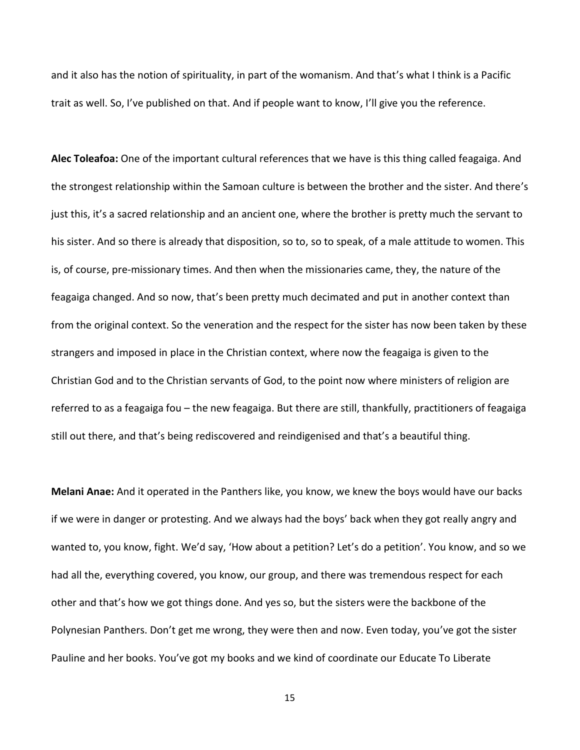and it also has the notion of spirituality, in part of the womanism. And that's what I think is a Pacific trait as well. So, I've published on that. And if people want to know, I'll give you the reference.

**Alec Toleafoa:** One of the important cultural references that we have is this thing called feagaiga. And the strongest relationship within the Samoan culture is between the brother and the sister. And there's just this, it's a sacred relationship and an ancient one, where the brother is pretty much the servant to his sister. And so there is already that disposition, so to, so to speak, of a male attitude to women. This is, of course, pre-missionary times. And then when the missionaries came, they, the nature of the feagaiga changed. And so now, that's been pretty much decimated and put in another context than from the original context. So the veneration and the respect for the sister has now been taken by these strangers and imposed in place in the Christian context, where now the feagaiga is given to the Christian God and to the Christian servants of God, to the point now where ministers of religion are referred to as a feagaiga fou – the new feagaiga. But there are still, thankfully, practitioners of feagaiga still out there, and that's being rediscovered and reindigenised and that's a beautiful thing.

**Melani Anae:** And it operated in the Panthers like, you know, we knew the boys would have our backs if we were in danger or protesting. And we always had the boys' back when they got really angry and wanted to, you know, fight. We'd say, 'How about a petition? Let's do a petition'. You know, and so we had all the, everything covered, you know, our group, and there was tremendous respect for each other and that's how we got things done. And yes so, but the sisters were the backbone of the Polynesian Panthers. Don't get me wrong, they were then and now. Even today, you've got the sister Pauline and her books. You've got my books and we kind of coordinate our Educate To Liberate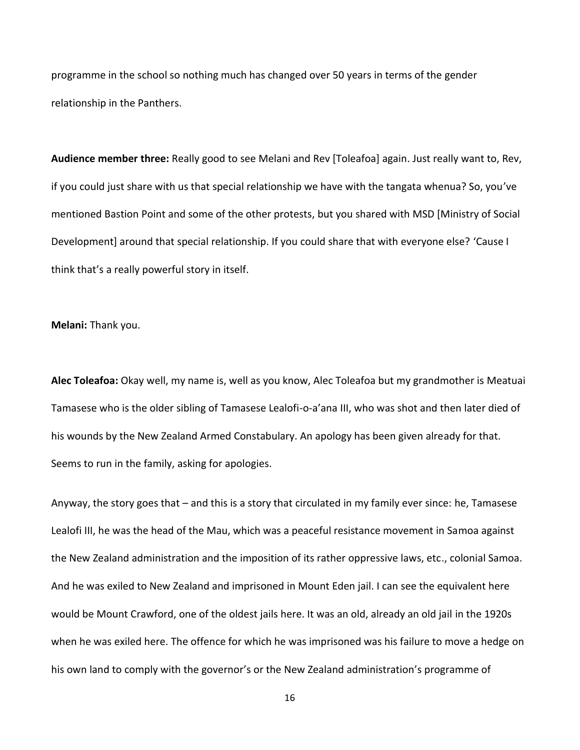programme in the school so nothing much has changed over 50 years in terms of the gender relationship in the Panthers.

**Audience member three:** Really good to see Melani and Rev [Toleafoa] again. Just really want to, Rev, if you could just share with us that special relationship we have with the tangata whenua? So, you've mentioned Bastion Point and some of the other protests, but you shared with MSD [Ministry of Social Development] around that special relationship. If you could share that with everyone else? 'Cause I think that's a really powerful story in itself.

**Melani:** Thank you.

**Alec Toleafoa:** Okay well, my name is, well as you know, Alec Toleafoa but my grandmother is Meatuai Tamasese who is the older sibling of Tamasese Lealofi-o-a'ana III, who was shot and then later died of his wounds by the New Zealand Armed Constabulary. An apology has been given already for that. Seems to run in the family, asking for apologies.

Anyway, the story goes that – and this is a story that circulated in my family ever since: he, Tamasese Lealofi III, he was the head of the Mau, which was a peaceful resistance movement in Samoa against the New Zealand administration and the imposition of its rather oppressive laws, etc., colonial Samoa. And he was exiled to New Zealand and imprisoned in Mount Eden jail. I can see the equivalent here would be Mount Crawford, one of the oldest jails here. It was an old, already an old jail in the 1920s when he was exiled here. The offence for which he was imprisoned was his failure to move a hedge on his own land to comply with the governor's or the New Zealand administration's programme of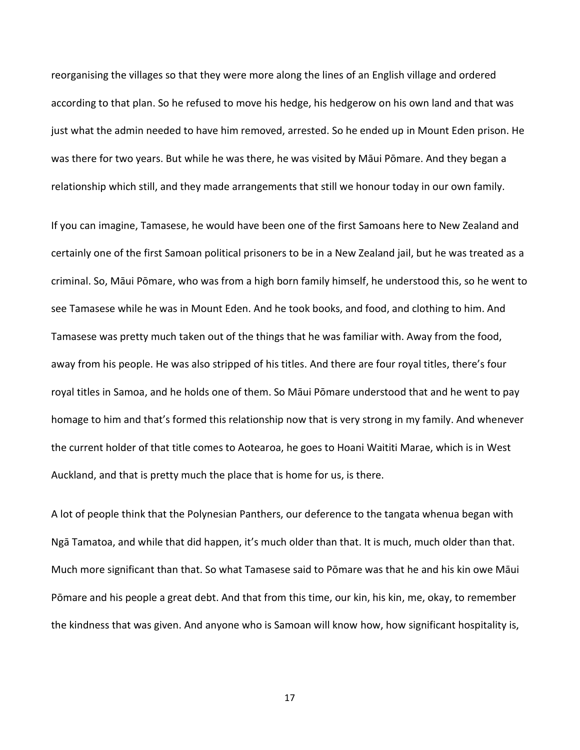reorganising the villages so that they were more along the lines of an English village and ordered according to that plan. So he refused to move his hedge, his hedgerow on his own land and that was just what the admin needed to have him removed, arrested. So he ended up in Mount Eden prison. He was there for two years. But while he was there, he was visited by Māui Pōmare. And they began a relationship which still, and they made arrangements that still we honour today in our own family.

If you can imagine, Tamasese, he would have been one of the first Samoans here to New Zealand and certainly one of the first Samoan political prisoners to be in a New Zealand jail, but he was treated as a criminal. So, Māui Pōmare, who was from a high born family himself, he understood this, so he went to see Tamasese while he was in Mount Eden. And he took books, and food, and clothing to him. And Tamasese was pretty much taken out of the things that he was familiar with. Away from the food, away from his people. He was also stripped of his titles. And there are four royal titles, there's four royal titles in Samoa, and he holds one of them. So Māui Pōmare understood that and he went to pay homage to him and that's formed this relationship now that is very strong in my family. And whenever the current holder of that title comes to Aotearoa, he goes to Hoani Waititi Marae, which is in West Auckland, and that is pretty much the place that is home for us, is there.

A lot of people think that the Polynesian Panthers, our deference to the tangata whenua began with Ngā Tamatoa, and while that did happen, it's much older than that. It is much, much older than that. Much more significant than that. So what Tamasese said to Pōmare was that he and his kin owe Māui Pōmare and his people a great debt. And that from this time, our kin, his kin, me, okay, to remember the kindness that was given. And anyone who is Samoan will know how, how significant hospitality is,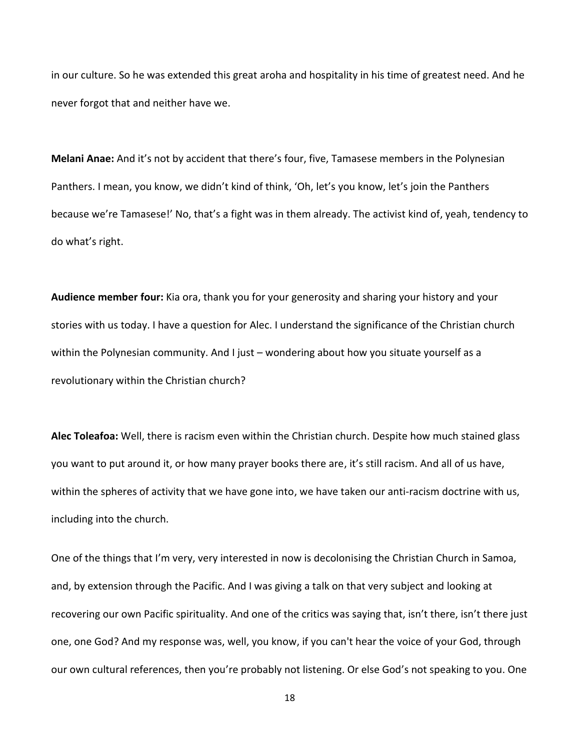in our culture. So he was extended this great aroha and hospitality in his time of greatest need. And he never forgot that and neither have we.

**Melani Anae:** And it's not by accident that there's four, five, Tamasese members in the Polynesian Panthers. I mean, you know, we didn't kind of think, 'Oh, let's you know, let's join the Panthers because we're Tamasese!' No, that's a fight was in them already. The activist kind of, yeah, tendency to do what's right.

**Audience member four:** Kia ora, thank you for your generosity and sharing your history and your stories with us today. I have a question for Alec. I understand the significance of the Christian church within the Polynesian community. And I just – wondering about how you situate yourself as a revolutionary within the Christian church?

**Alec Toleafoa:** Well, there is racism even within the Christian church. Despite how much stained glass you want to put around it, or how many prayer books there are, it's still racism. And all of us have, within the spheres of activity that we have gone into, we have taken our anti-racism doctrine with us, including into the church.

One of the things that I'm very, very interested in now is decolonising the Christian Church in Samoa, and, by extension through the Pacific. And I was giving a talk on that very subject and looking at recovering our own Pacific spirituality. And one of the critics was saying that, isn't there, isn't there just one, one God? And my response was, well, you know, if you can't hear the voice of your God, through our own cultural references, then you're probably not listening. Or else God's not speaking to you. One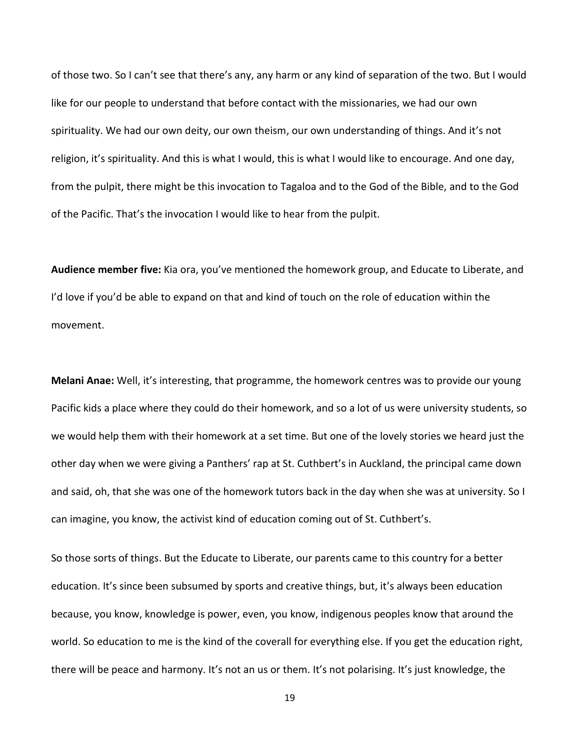of those two. So I can't see that there's any, any harm or any kind of separation of the two. But I would like for our people to understand that before contact with the missionaries, we had our own spirituality. We had our own deity, our own theism, our own understanding of things. And it's not religion, it's spirituality. And this is what I would, this is what I would like to encourage. And one day, from the pulpit, there might be this invocation to Tagaloa and to the God of the Bible, and to the God of the Pacific. That's the invocation I would like to hear from the pulpit.

**Audience member five:** Kia ora, you've mentioned the homework group, and Educate to Liberate, and I'd love if you'd be able to expand on that and kind of touch on the role of education within the movement.

**Melani Anae:** Well, it's interesting, that programme, the homework centres was to provide our young Pacific kids a place where they could do their homework, and so a lot of us were university students, so we would help them with their homework at a set time. But one of the lovely stories we heard just the other day when we were giving a Panthers' rap at St. Cuthbert's in Auckland, the principal came down and said, oh, that she was one of the homework tutors back in the day when she was at university. So I can imagine, you know, the activist kind of education coming out of St. Cuthbert's.

So those sorts of things. But the Educate to Liberate, our parents came to this country for a better education. It's since been subsumed by sports and creative things, but, it's always been education because, you know, knowledge is power, even, you know, indigenous peoples know that around the world. So education to me is the kind of the coverall for everything else. If you get the education right, there will be peace and harmony. It's not an us or them. It's not polarising. It's just knowledge, the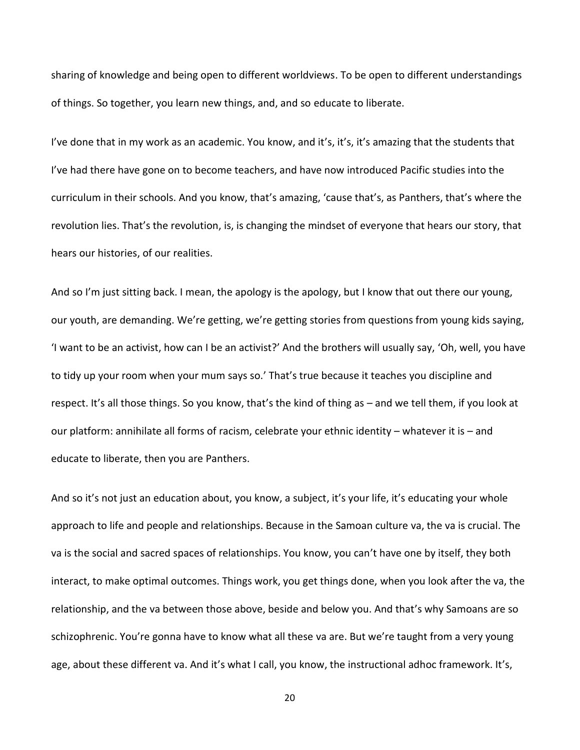sharing of knowledge and being open to different worldviews. To be open to different understandings of things. So together, you learn new things, and, and so educate to liberate.

I've done that in my work as an academic. You know, and it's, it's, it's amazing that the students that I've had there have gone on to become teachers, and have now introduced Pacific studies into the curriculum in their schools. And you know, that's amazing, 'cause that's, as Panthers, that's where the revolution lies. That's the revolution, is, is changing the mindset of everyone that hears our story, that hears our histories, of our realities.

And so I'm just sitting back. I mean, the apology is the apology, but I know that out there our young, our youth, are demanding. We're getting, we're getting stories from questions from young kids saying, 'I want to be an activist, how can I be an activist?' And the brothers will usually say, 'Oh, well, you have to tidy up your room when your mum says so.' That's true because it teaches you discipline and respect. It's all those things. So you know, that's the kind of thing as – and we tell them, if you look at our platform: annihilate all forms of racism, celebrate your ethnic identity – whatever it is – and educate to liberate, then you are Panthers.

And so it's not just an education about, you know, a subject, it's your life, it's educating your whole approach to life and people and relationships. Because in the Samoan culture va, the va is crucial. The va is the social and sacred spaces of relationships. You know, you can't have one by itself, they both interact, to make optimal outcomes. Things work, you get things done, when you look after the va, the relationship, and the va between those above, beside and below you. And that's why Samoans are so schizophrenic. You're gonna have to know what all these va are. But we're taught from a very young age, about these different va. And it's what I call, you know, the instructional adhoc framework. It's,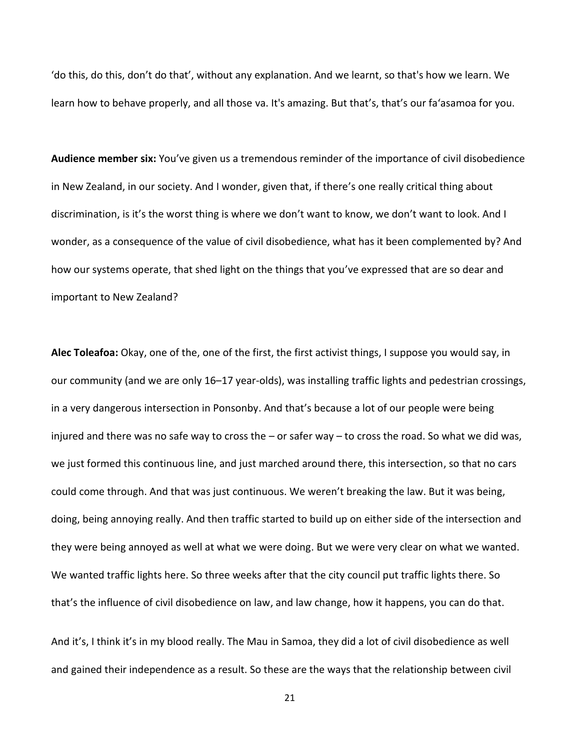'do this, do this, don't do that', without any explanation. And we learnt, so that's how we learn. We learn how to behave properly, and all those va. It's amazing. But that's, that's our fa'asamoa for you.

**Audience member six:** You've given us a tremendous reminder of the importance of civil disobedience in New Zealand, in our society. And I wonder, given that, if there's one really critical thing about discrimination, is it's the worst thing is where we don't want to know, we don't want to look. And I wonder, as a consequence of the value of civil disobedience, what has it been complemented by? And how our systems operate, that shed light on the things that you've expressed that are so dear and important to New Zealand?

**Alec Toleafoa:** Okay, one of the, one of the first, the first activist things, I suppose you would say, in our community (and we are only 16–17 year-olds), was installing traffic lights and pedestrian crossings, in a very dangerous intersection in Ponsonby. And that's because a lot of our people were being injured and there was no safe way to cross the – or safer way – to cross the road. So what we did was, we just formed this continuous line, and just marched around there, this intersection, so that no cars could come through. And that was just continuous. We weren't breaking the law. But it was being, doing, being annoying really. And then traffic started to build up on either side of the intersection and they were being annoyed as well at what we were doing. But we were very clear on what we wanted. We wanted traffic lights here. So three weeks after that the city council put traffic lights there. So that's the influence of civil disobedience on law, and law change, how it happens, you can do that.

And it's, I think it's in my blood really. The Mau in Samoa, they did a lot of civil disobedience as well and gained their independence as a result. So these are the ways that the relationship between civil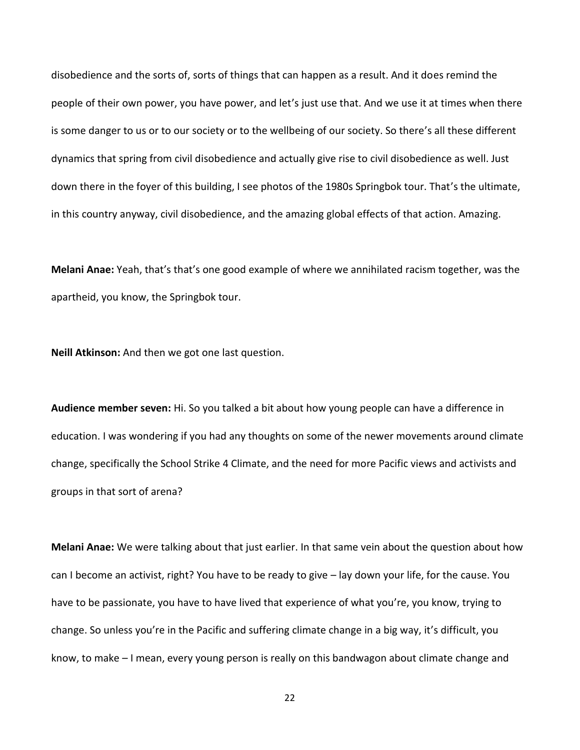disobedience and the sorts of, sorts of things that can happen as a result. And it does remind the people of their own power, you have power, and let's just use that. And we use it at times when there is some danger to us or to our society or to the wellbeing of our society. So there's all these different dynamics that spring from civil disobedience and actually give rise to civil disobedience as well. Just down there in the foyer of this building, I see photos of the 1980s Springbok tour. That's the ultimate, in this country anyway, civil disobedience, and the amazing global effects of that action. Amazing.

**Melani Anae:** Yeah, that's that's one good example of where we annihilated racism together, was the apartheid, you know, the Springbok tour.

**Neill Atkinson:** And then we got one last question.

**Audience member seven:** Hi. So you talked a bit about how young people can have a difference in education. I was wondering if you had any thoughts on some of the newer movements around climate change, specifically the School Strike 4 Climate, and the need for more Pacific views and activists and groups in that sort of arena?

**Melani Anae:** We were talking about that just earlier. In that same vein about the question about how can I become an activist, right? You have to be ready to give – lay down your life, for the cause. You have to be passionate, you have to have lived that experience of what you're, you know, trying to change. So unless you're in the Pacific and suffering climate change in a big way, it's difficult, you know, to make – I mean, every young person is really on this bandwagon about climate change and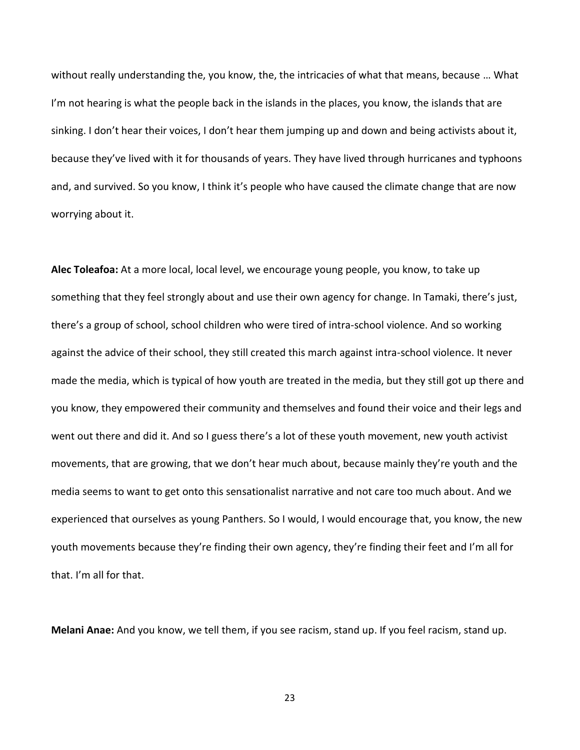without really understanding the, you know, the, the intricacies of what that means, because … What I'm not hearing is what the people back in the islands in the places, you know, the islands that are sinking. I don't hear their voices, I don't hear them jumping up and down and being activists about it, because they've lived with it for thousands of years. They have lived through hurricanes and typhoons and, and survived. So you know, I think it's people who have caused the climate change that are now worrying about it.

**Alec Toleafoa:** At a more local, local level, we encourage young people, you know, to take up something that they feel strongly about and use their own agency for change. In Tamaki, there's just, there's a group of school, school children who were tired of intra-school violence. And so working against the advice of their school, they still created this march against intra-school violence. It never made the media, which is typical of how youth are treated in the media, but they still got up there and you know, they empowered their community and themselves and found their voice and their legs and went out there and did it. And so I guess there's a lot of these youth movement, new youth activist movements, that are growing, that we don't hear much about, because mainly they're youth and the media seems to want to get onto this sensationalist narrative and not care too much about. And we experienced that ourselves as young Panthers. So I would, I would encourage that, you know, the new youth movements because they're finding their own agency, they're finding their feet and I'm all for that. I'm all for that.

**Melani Anae:** And you know, we tell them, if you see racism, stand up. If you feel racism, stand up.